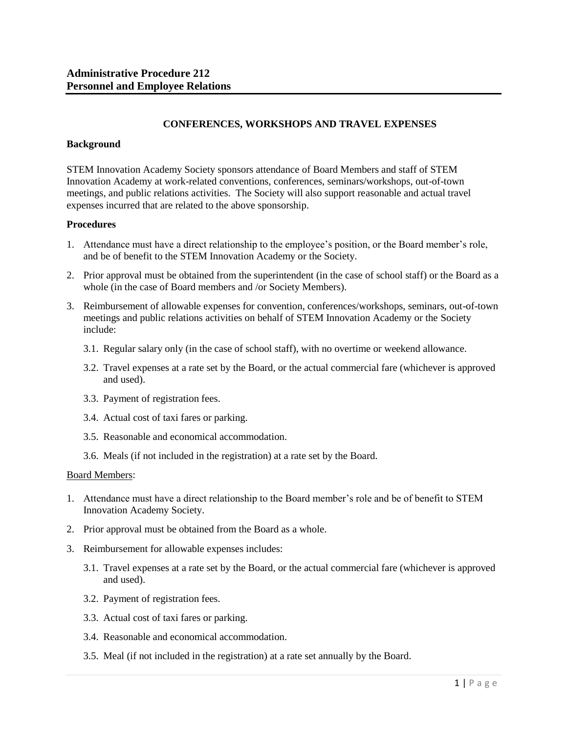# **CONFERENCES, WORKSHOPS AND TRAVEL EXPENSES**

#### **Background**

STEM Innovation Academy Society sponsors attendance of Board Members and staff of STEM Innovation Academy at work-related conventions, conferences, seminars/workshops, out-of-town meetings, and public relations activities. The Society will also support reasonable and actual travel expenses incurred that are related to the above sponsorship.

### **Procedures**

- 1. Attendance must have a direct relationship to the employee's position, or the Board member's role, and be of benefit to the STEM Innovation Academy or the Society.
- 2. Prior approval must be obtained from the superintendent (in the case of school staff) or the Board as a whole (in the case of Board members and /or Society Members).
- 3. Reimbursement of allowable expenses for convention, conferences/workshops, seminars, out-of-town meetings and public relations activities on behalf of STEM Innovation Academy or the Society include:
	- 3.1. Regular salary only (in the case of school staff), with no overtime or weekend allowance.
	- 3.2. Travel expenses at a rate set by the Board, or the actual commercial fare (whichever is approved and used).
	- 3.3. Payment of registration fees.
	- 3.4. Actual cost of taxi fares or parking.
	- 3.5. Reasonable and economical accommodation.
	- 3.6. Meals (if not included in the registration) at a rate set by the Board.

#### Board Members:

- 1. Attendance must have a direct relationship to the Board member's role and be of benefit to STEM Innovation Academy Society.
- 2. Prior approval must be obtained from the Board as a whole.
- 3. Reimbursement for allowable expenses includes:
	- 3.1. Travel expenses at a rate set by the Board, or the actual commercial fare (whichever is approved and used).
	- 3.2. Payment of registration fees.
	- 3.3. Actual cost of taxi fares or parking.
	- 3.4. Reasonable and economical accommodation.
	- 3.5. Meal (if not included in the registration) at a rate set annually by the Board.